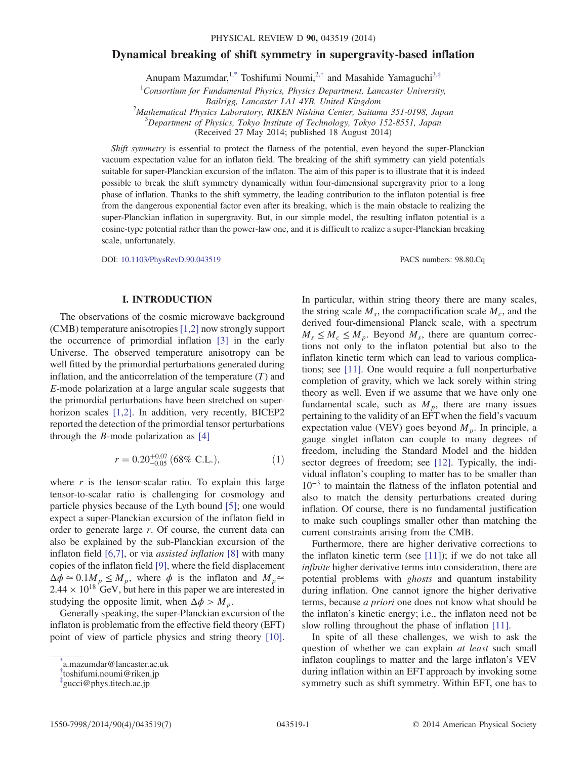# <span id="page-0-3"></span>Dynamical breaking of shift symmetry in supergravity-based inflation

Anupam Mazumdar,<sup>[1,\\*](#page-0-0)</sup> Toshifumi Noumi,<sup>2,[†](#page-0-1)</sup> and Masahide Yamaguchi<sup>3,[‡](#page-0-2)</sup>

 ${}^{1}$ Consortium for Fundamental Physics, Physics Department, Lancaster University,

 $^{2}$ Mathematical Physics Laboratory, RIKEN Nishina Center, Saitama 351-0198, Japan

<sup>3</sup>Department of Physics, Tokyo Institute of Technology, Tokyo 152-8551, Japan

(Received 27 May 2014; published 18 August 2014)

Shift symmetry is essential to protect the flatness of the potential, even beyond the super-Planckian vacuum expectation value for an inflaton field. The breaking of the shift symmetry can yield potentials suitable for super-Planckian excursion of the inflaton. The aim of this paper is to illustrate that it is indeed possible to break the shift symmetry dynamically within four-dimensional supergravity prior to a long phase of inflation. Thanks to the shift symmetry, the leading contribution to the inflaton potential is free from the dangerous exponential factor even after its breaking, which is the main obstacle to realizing the super-Planckian inflation in supergravity. But, in our simple model, the resulting inflaton potential is a cosine-type potential rather than the power-law one, and it is difficult to realize a super-Planckian breaking scale, unfortunately.

DOI: [10.1103/PhysRevD.90.043519](http://dx.doi.org/10.1103/PhysRevD.90.043519) PACS numbers: 98.80.Cq

## I. INTRODUCTION

The observations of the cosmic microwave background (CMB) temperature anisotropies [\[1,2\]](#page-6-0) now strongly support the occurrence of primordial inflation [\[3\]](#page-6-1) in the early Universe. The observed temperature anisotropy can be well fitted by the primordial perturbations generated during inflation, and the anticorrelation of the temperature  $(T)$  and E-mode polarization at a large angular scale suggests that the primordial perturbations have been stretched on super-horizon scales [\[1,2\].](#page-6-0) In addition, very recently, BICEP2 reported the detection of the primordial tensor perturbations through the *B*-mode polarization as  $[4]$ 

$$
r = 0.20^{+0.07}_{-0.05} \ (68\% \ \text{C.L.}), \tag{1}
$$

where  $r$  is the tensor-scalar ratio. To explain this large tensor-to-scalar ratio is challenging for cosmology and particle physics because of the Lyth bound [\[5\]](#page-6-3); one would expect a super-Planckian excursion of the inflaton field in order to generate large r. Of course, the current data can also be explained by the sub-Planckian excursion of the inflaton field [\[6,7\]](#page-6-4), or via assisted inflation [\[8\]](#page-6-5) with many copies of the inflaton field [\[9\],](#page-6-6) where the field displacement  $\Delta \phi \simeq 0.1 M_p \leq M_p$ , where  $\phi$  is the inflaton and  $M_p \simeq$  $2.44 \times 10^{18}$  GeV, but here in this paper we are interested in studying the opposite limit, when  $\Delta \phi > M_p$ .

Generally speaking, the super-Planckian excursion of the inflaton is problematic from the effective field theory (EFT) point of view of particle physics and string theory [\[10\]](#page-6-7). In particular, within string theory there are many scales, the string scale  $M_s$ , the compactification scale  $M_c$ , and the derived four-dimensional Planck scale, with a spectrum  $M_s \leq M_c \leq M_p$ . Beyond  $M_s$ , there are quantum corrections not only to the inflaton potential but also to the inflaton kinetic term which can lead to various complications; see [\[11\].](#page-6-8) One would require a full nonperturbative completion of gravity, which we lack sorely within string theory as well. Even if we assume that we have only one fundamental scale, such as  $M_p$ , there are many issues pertaining to the validity of an EFT when the field's vacuum expectation value (VEV) goes beyond  $M_p$ . In principle, a gauge singlet inflaton can couple to many degrees of freedom, including the Standard Model and the hidden sector degrees of freedom; see [\[12\]](#page-6-9). Typically, the individual inflaton's coupling to matter has to be smaller than  $10^{-3}$  to maintain the flatness of the inflaton potential and also to match the density perturbations created during inflation. Of course, there is no fundamental justification to make such couplings smaller other than matching the current constraints arising from the CMB.

Furthermore, there are higher derivative corrections to the inflaton kinetic term (see  $[11]$ ); if we do not take all infinite higher derivative terms into consideration, there are potential problems with ghosts and quantum instability during inflation. One cannot ignore the higher derivative terms, because a priori one does not know what should be the inflaton's kinetic energy; i.e., the inflaton need not be slow rolling throughout the phase of inflation [\[11\].](#page-6-8)

In spite of all these challenges, we wish to ask the question of whether we can explain at least such small inflaton couplings to matter and the large inflaton's VEV during inflation within an EFT approach by invoking some symmetry such as shift symmetry. Within EFT, one has to

Bailrigg, Lancaster LA1 4YB, United Kingdom <sup>2</sup>

<span id="page-0-0"></span>[<sup>\\*</sup>](#page-0-3) a.mazumdar@lancaster.ac.uk

<span id="page-0-1"></span>[<sup>†</sup>](#page-0-3) toshifumi.noumi@riken.jp

<span id="page-0-2"></span>[<sup>‡</sup>](#page-0-3) gucci@phys.titech.ac.jp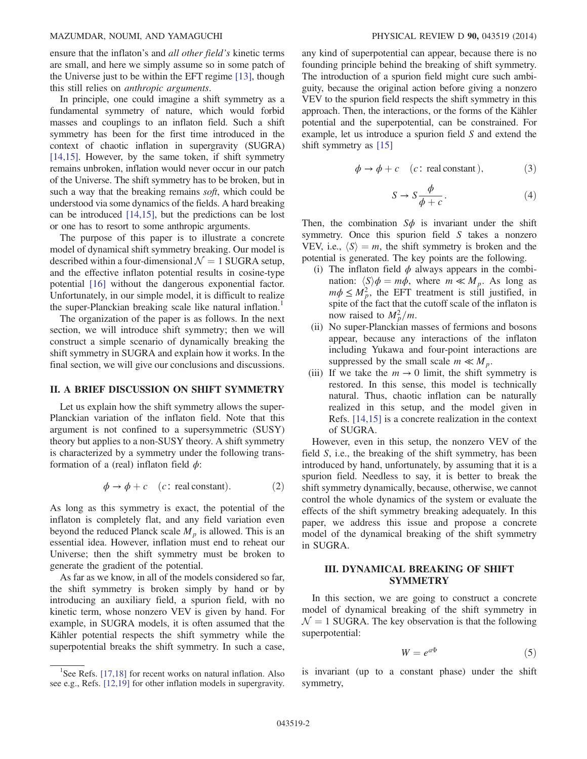#### MAZUMDAR, NOUMI, AND YAMAGUCHI PHYSICAL REVIEW D 90, 043519 (2014)

ensure that the inflaton's and all other field's kinetic terms are small, and here we simply assume so in some patch of the Universe just to be within the EFT regime [\[13\],](#page-6-10) though this still relies on anthropic arguments.

In principle, one could imagine a shift symmetry as a fundamental symmetry of nature, which would forbid masses and couplings to an inflaton field. Such a shift symmetry has been for the first time introduced in the context of chaotic inflation in supergravity (SUGRA) [\[14,15\].](#page-6-11) However, by the same token, if shift symmetry remains unbroken, inflation would never occur in our patch of the Universe. The shift symmetry has to be broken, but in such a way that the breaking remains *soft*, which could be understood via some dynamics of the fields. A hard breaking can be introduced [\[14,15\]](#page-6-11), but the predictions can be lost or one has to resort to some anthropic arguments.

The purpose of this paper is to illustrate a concrete model of dynamical shift symmetry breaking. Our model is described within a four-dimensional  $\mathcal{N} = 1$  SUGRA setup, and the effective inflaton potential results in cosine-type potential [\[16\]](#page-6-12) without the dangerous exponential factor. Unfortunately, in our simple model, it is difficult to realize the super-Planckian breaking scale like natural inflation.<sup>1</sup>

The organization of the paper is as follows. In the next section, we will introduce shift symmetry; then we will construct a simple scenario of dynamically breaking the shift symmetry in SUGRA and explain how it works. In the final section, we will give our conclusions and discussions.

## II. A BRIEF DISCUSSION ON SHIFT SYMMETRY

Let us explain how the shift symmetry allows the super-Planckian variation of the inflaton field. Note that this argument is not confined to a supersymmetric (SUSY) theory but applies to a non-SUSY theory. A shift symmetry is characterized by a symmetry under the following transformation of a (real) inflaton field  $\phi$ :

$$
\phi \to \phi + c \quad (c: \text{ real constant}). \tag{2}
$$

As long as this symmetry is exact, the potential of the inflaton is completely flat, and any field variation even beyond the reduced Planck scale  $M_p$  is allowed. This is an essential idea. However, inflation must end to reheat our Universe; then the shift symmetry must be broken to generate the gradient of the potential.

As far as we know, in all of the models considered so far, the shift symmetry is broken simply by hand or by introducing an auxiliary field, a spurion field, with no kinetic term, whose nonzero VEV is given by hand. For example, in SUGRA models, it is often assumed that the Kähler potential respects the shift symmetry while the superpotential breaks the shift symmetry. In such a case, any kind of superpotential can appear, because there is no founding principle behind the breaking of shift symmetry. The introduction of a spurion field might cure such ambiguity, because the original action before giving a nonzero VEV to the spurion field respects the shift symmetry in this approach. Then, the interactions, or the forms of the Kähler potential and the superpotential, can be constrained. For example, let us introduce a spurion field S and extend the shift symmetry as [\[15\]](#page-6-13)

$$
\phi \to \phi + c \quad (c: \text{ real constant}), \tag{3}
$$

$$
S \to S \frac{\phi}{\phi + c}.\tag{4}
$$

Then, the combination  $S\phi$  is invariant under the shift symmetry. Once this spurion field S takes a nonzero VEV, i.e.,  $\langle S \rangle = m$ , the shift symmetry is broken and the potential is generated. The key points are the following.

- (i) The inflaton field  $\phi$  always appears in the combination:  $\langle S \rangle \phi = m\phi$ , where  $m \ll M_p$ . As long as  $m\phi \leq M_p^2$ , the EFT treatment is still justified, in spite of the fact that the cutoff scale of the inflaton is now raised to  $M_p^2/m$ .
- (ii) No super-Planckian masses of fermions and bosons appear, because any interactions of the inflaton including Yukawa and four-point interactions are suppressed by the small scale  $m \ll M_p$ .
- (iii) If we take the  $m \to 0$  limit, the shift symmetry is restored. In this sense, this model is technically natural. Thus, chaotic inflation can be naturally realized in this setup, and the model given in Refs. [\[14,15\]](#page-6-11) is a concrete realization in the context of SUGRA.

However, even in this setup, the nonzero VEV of the field S, i.e., the breaking of the shift symmetry, has been introduced by hand, unfortunately, by assuming that it is a spurion field. Needless to say, it is better to break the shift symmetry dynamically, because, otherwise, we cannot control the whole dynamics of the system or evaluate the effects of the shift symmetry breaking adequately. In this paper, we address this issue and propose a concrete model of the dynamical breaking of the shift symmetry in SUGRA.

## III. DYNAMICAL BREAKING OF SHIFT SYMMETRY

In this section, we are going to construct a concrete model of dynamical breaking of the shift symmetry in  $\mathcal{N} = 1$  SUGRA. The key observation is that the following superpotential:

$$
W = e^{a\Phi} \tag{5}
$$

is invariant (up to a constant phase) under the shift symmetry,

<sup>&</sup>lt;sup>1</sup>See Refs. [\[17,18\]](#page-6-14) for recent works on natural inflation. Also see e.g., Refs. [\[12,19\]](#page-6-9) for other inflation models in supergravity.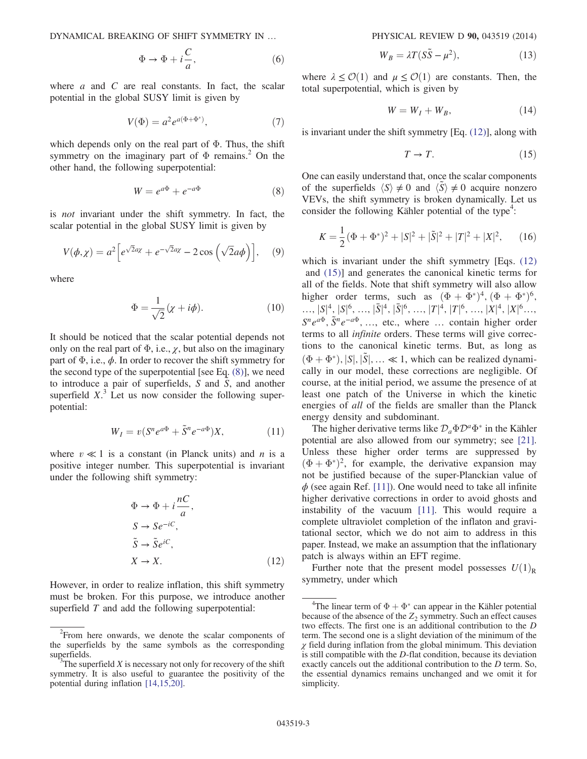DYNAMICAL BREAKING OF SHIFT SYMMETRY IN … PHYSICAL REVIEW D 90, 043519 (2014)

$$
\Phi \to \Phi + i\frac{C}{a},\tag{6}
$$

where  $a$  and  $C$  are real constants. In fact, the scalar potential in the global SUSY limit is given by

$$
V(\Phi) = a^2 e^{a(\Phi + \Phi^*)},\tag{7}
$$

<span id="page-2-0"></span>which depends only on the real part of  $\Phi$ . Thus, the shift symmetry on the imaginary part of  $\Phi$  remains.<sup>2</sup> On the other hand, the following superpotential:

$$
W = e^{a\Phi} + e^{-a\Phi} \tag{8}
$$

is not invariant under the shift symmetry. In fact, the scalar potential in the global SUSY limit is given by

$$
V(\phi, \chi) = a^2 \Big[ e^{\sqrt{2}a\chi} + e^{-\sqrt{2}a\chi} - 2\cos\left(\sqrt{2}a\phi\right) \Big], \quad (9)
$$

where

$$
\Phi = \frac{1}{\sqrt{2}} (\chi + i\phi). \tag{10}
$$

<span id="page-2-3"></span>It should be noticed that the scalar potential depends not only on the real part of  $\Phi$ , i.e.,  $\chi$ , but also on the imaginary part of  $\Phi$ , i.e.,  $\phi$ . In order to recover the shift symmetry for the second type of the superpotential [see Eq. [\(8\)](#page-2-0)], we need to introduce a pair of superfields,  $S$  and  $\tilde{S}$ , and another superfield  $X$ <sup>3</sup>. Let us now consider the following superpotential:

$$
W_I = v(S^n e^{a\Phi} + \tilde{S}^n e^{-a\Phi})X, \qquad (11)
$$

<span id="page-2-1"></span>where  $v \ll 1$  is a constant (in Planck units) and *n* is a positive integer number. This superpotential is invariant under the following shift symmetry:

$$
\Phi \to \Phi + i\frac{nC}{a},
$$
  
\n
$$
S \to Se^{-iC},
$$
  
\n
$$
\tilde{S} \to \tilde{S}e^{iC},
$$
  
\n
$$
X \to X.
$$
 (12)

However, in order to realize inflation, this shift symmetry must be broken. For this purpose, we introduce another superfield  $T$  and add the following superpotential:

$$
W_B = \lambda T (S\tilde{S} - \mu^2), \qquad (13)
$$

where  $\lambda \leq \mathcal{O}(1)$  and  $\mu \leq \mathcal{O}(1)$  are constants. Then, the total superpotential, which is given by

$$
W = W_I + W_B, \tag{14}
$$

<span id="page-2-2"></span>is invariant under the shift symmetry [Eq. [\(12\)](#page-2-1)], along with

$$
T \to T. \tag{15}
$$

One can easily understand that, once the scalar components of the superfields  $\langle S \rangle \neq 0$  and  $\langle S \rangle \neq 0$  acquire nonzero VEVs, the shift symmetry is broken dynamically. Let us consider the following Kähler potential of the type<sup>4</sup>:

$$
K = \frac{1}{2}(\Phi + \Phi^*)^2 + |S|^2 + |\tilde{S}|^2 + |T|^2 + |X|^2, \qquad (16)
$$

which is invariant under the shift symmetry [Eqs.  $(12)$ ] and [\(15\)\]](#page-2-2) and generates the canonical kinetic terms for all of the fields. Note that shift symmetry will also allow higher order terms, such as  $(\Phi + \Phi^*)^4$ ,  $(\Phi + \Phi^*)^6$ ,  $\ldots, |S|^4, |S|^6, \ldots, |\bar{S}|^4, |\bar{S}|^6, \ldots, |T|^4, |T|^6, \ldots, |X|^4, |X|^6, \ldots,$ <br>  $S^p_{\alpha}e^{q\bar{\Phi}} \tilde{S}^p_{\alpha}e^{-q\bar{\Phi}}$  at where exiting higher order  $S^n e^{a\Phi}, \tilde{S}^n e^{-a\Phi}, \ldots$ , etc., where  $\ldots$  contain higher order terms to all infinite orders. These terms will give corrections to the canonical kinetic terms. But, as long as  $(\Phi + \Phi^*), |S|, |\tilde{S}|, \ldots \ll 1$ , which can be realized dynamically in our model, these corrections are negligible. Of course, at the initial period, we assume the presence of at least one patch of the Universe in which the kinetic energies of all of the fields are smaller than the Planck energy density and subdominant.

The higher derivative terms like  $\mathcal{D}_a \Phi \mathcal{D}^a \Phi^*$  in the Kähler potential are also allowed from our symmetry; see [\[21\]](#page-6-15). Unless these higher order terms are suppressed by  $(\Phi + \Phi^*)^2$ , for example, the derivative expansion may not be justified because of the super-Planckian value of  $\phi$  (see again Ref. [\[11\]\)](#page-6-8). One would need to take all infinite higher derivative corrections in order to avoid ghosts and instability of the vacuum [\[11\]](#page-6-8). This would require a complete ultraviolet completion of the inflaton and gravitational sector, which we do not aim to address in this paper. Instead, we make an assumption that the inflationary patch is always within an EFT regime.

Further note that the present model possesses  $U(1)_R$ symmetry, under which

<sup>&</sup>lt;sup>2</sup> From here onwards, we denote the scalar components of the superfields by the same symbols as the corresponding superfields.

The superfield  $X$  is necessary not only for recovery of the shift symmetry. It is also useful to guarantee the positivity of the potential during inflation [\[14,15,20\].](#page-6-11)

<sup>&</sup>lt;sup>4</sup>The linear term of  $\Phi + \Phi^*$  can appear in the Kähler potential cause of the absence of the Z<sub>2</sub> symmetry. Such an effect causes because of the absence of the  $Z_2$  symmetry. Such an effect causes two effects. The first one is an additional contribution to the D term. The second one is a slight deviation of the minimum of the  $\gamma$  field during inflation from the global minimum. This deviation is still compatible with the D-flat condition, because its deviation exactly cancels out the additional contribution to the D term. So, the essential dynamics remains unchanged and we omit it for simplicity.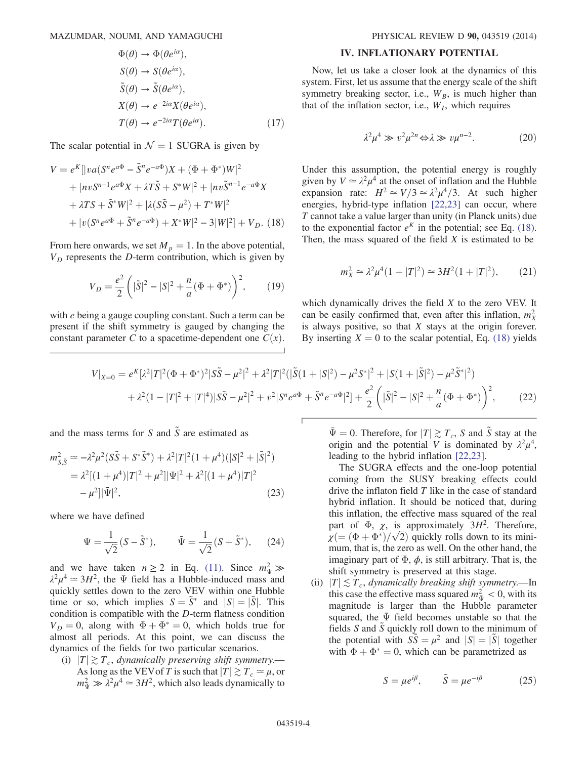$$
\Phi(\theta) \to \Phi(\theta e^{i\alpha}),
$$
  
\n
$$
S(\theta) \to S(\theta e^{i\alpha}),
$$
  
\n
$$
\tilde{S}(\theta) \to \tilde{S}(\theta e^{i\alpha}),
$$
  
\n
$$
X(\theta) \to e^{-2i\alpha} X(\theta e^{i\alpha}),
$$
  
\n
$$
T(\theta) \to e^{-2i\alpha} T(\theta e^{i\alpha}).
$$
\n(17)

<span id="page-3-0"></span>The scalar potential in  $\mathcal{N} = 1$  SUGRA is given by

$$
V = e^{K} [ |va(S^{n}e^{a\Phi} - \tilde{S}^{n}e^{-a\Phi})X + (\Phi + \Phi^{*})W |^{2}
$$
  
+ 
$$
|nvS^{n-1}e^{a\Phi}X + \lambda T\tilde{S} + S^{*}W |^{2} + |nv\tilde{S}^{n-1}e^{-a\Phi}X
$$
  
+ 
$$
\lambda TS + \tilde{S}^{*}W |^{2} + |\lambda(S\tilde{S} - \mu^{2}) + T^{*}W |^{2}
$$
  
+ 
$$
|v(S^{n}e^{a\Phi} + \tilde{S}^{n}e^{-a\Phi}) + X^{*}W |^{2} - 3|W|^{2}] + V_{D}. (18)
$$

From here onwards, we set  $M_p = 1$ . In the above potential,  $V_D$  represents the D-term contribution, which is given by

$$
V_D = \frac{e^2}{2} \left( |\tilde{S}|^2 - |S|^2 + \frac{n}{a} (\Phi + \Phi^*) \right)^2, \qquad (19)
$$

<span id="page-3-1"></span>with *e* being a gauge coupling constant. Such a term can be present if the shift symmetry is gauged by changing the constant parameter C to a spacetime-dependent one  $C(x)$ .

## IV. INFLATIONARY POTENTIAL

Now, let us take a closer look at the dynamics of this system. First, let us assume that the energy scale of the shift symmetry breaking sector, i.e.,  $W_B$ , is much higher than that of the inflation sector, i.e.,  $W_I$ , which requires

$$
\lambda^2 \mu^4 \gg v^2 \mu^{2n} \Leftrightarrow \lambda \gg v \mu^{n-2}.
$$
 (20)

Under this assumption, the potential energy is roughly given by  $V \approx \lambda^2 \mu^4$  at the onset of inflation and the Hubble expansion rate:  $H^2 \simeq V/3 \simeq \lambda^2 \mu^4/3$ . At such higher energies, hybrid-type inflation [\[22,23\]](#page-6-16) can occur, where T cannot take a value larger than unity (in Planck units) due to the exponential factor  $e^{K}$  in the potential; see Eq. [\(18\)](#page-3-0). Then, the mass squared of the field  $X$  is estimated to be

$$
m_X^2 \simeq \lambda^2 \mu^4 (1+|T|^2) \simeq 3H^2 (1+|T|^2), \qquad (21)
$$

which dynamically drives the field X to the zero VEV. It can be easily confirmed that, even after this inflation,  $m_X^2$ is always positive, so that  $X$  stays at the origin forever. By inserting  $X = 0$  to the scalar potential, Eq. [\(18\)](#page-3-0) yields

$$
V|_{X=0} = e^{K}[\lambda^{2}|T|^{2}(\Phi + \Phi^{*})^{2}|S\tilde{S} - \mu^{2}|^{2} + \lambda^{2}|T|^{2}(|\tilde{S}(1+|S|^{2}) - \mu^{2}S^{*}|^{2} + |S(1+|\tilde{S}|^{2}) - \mu^{2}\tilde{S}^{*}|^{2})
$$
  
+ 
$$
\lambda^{2}(1-|T|^{2}+|T|^{4})|S\tilde{S} - \mu^{2}|^{2} + \nu^{2}|S^{n}e^{a\Phi} + \tilde{S}^{n}e^{-a\Phi}|^{2}] + \frac{e^{2}}{2}\left(|\tilde{S}|^{2} - |S|^{2} + \frac{n}{a}(\Phi + \Phi^{*})\right)^{2},
$$
 (22)

and the mass terms for S and  $\tilde{S}$  are estimated as

$$
m_{S,\bar{S}}^2 \simeq -\lambda^2 \mu^2 (S\tilde{S} + S^*\tilde{S}^*) + \lambda^2 |T|^2 (1 + \mu^4)(|S|^2 + |\tilde{S}|^2)
$$
  
=  $\lambda^2 [(1 + \mu^4)|T|^2 + \mu^2] |\Psi|^2 + \lambda^2 [(1 + \mu^4)|T|^2$   
 $- \mu^2] |\bar{\Psi}|^2,$  (23)

where we have defined

$$
\Psi = \frac{1}{\sqrt{2}} (S - \tilde{S}^*), \qquad \bar{\Psi} = \frac{1}{\sqrt{2}} (S + \tilde{S}^*), \qquad (24)
$$

and we have taken  $n \ge 2$  in Eq. [\(11\)](#page-2-3). Since  $m_{\Psi}^2 \gg$  $\lambda^2 \mu^4 \simeq 3H^2$ , the  $\Psi$  field has a Hubble-induced mass and quickly settles down to the zero VEV within one Hubble time or so, which implies  $S = S^*$  and  $|S| = |S|$ . This condition is compatible with the D-term flatness condition  $V_D = 0$ , along with  $\Phi + \Phi^* = 0$ , which holds true for almost all periods. At this point, we can discuss the dynamics of the fields for two particular scenarios.

(i)  $|T| \gtrsim T_c$ , dynamically preserving shift symmetry.— As long as the VEV of T is such that  $|T| \gtrsim T_c \simeq \mu$ , or  $m_{\Psi}^2 \gg \lambda^2 \mu^4 \simeq 3H^2$ , which also leads dynamically to  $\bar{\Psi} = 0$ . Therefore, for  $|T| \gtrsim T_c$ , S and  $\tilde{S}$  stay at the origin and the potential V is dominated by  $\lambda^2 \mu^4$ , leading to the hybrid inflation [\[22,23\]](#page-6-16).

The SUGRA effects and the one-loop potential coming from the SUSY breaking effects could drive the inflaton field  $T$  like in the case of standard hybrid inflation. It should be noticed that, during this inflation, the effective mass squared of the real part of  $\Phi$ ,  $\chi$ , is approximately 3H<sup>2</sup>. Therefore,  $\chi = (\Phi + \Phi^*)/\sqrt{2})$  quickly rolls down to its mini-<br>mum that is the zero as well. On the other hand, the mum, that is, the zero as well. On the other hand, the imaginary part of  $\Phi$ ,  $\phi$ , is still arbitrary. That is, the shift symmetry is preserved at this stage.

(ii)  $|T| \lesssim T_c$ , dynamically breaking shift symmetry.—In this case the effective mass squared  $m_{\Psi}^2 < 0$ , with its magnitude is larger than the Hubble parameter squared, the  $\bar{\Psi}$  field becomes unstable so that the fields S and  $\tilde{S}$  quickly roll down to the minimum of the potential with  $S\bar{S} = \mu^2$  and  $|S| = |\bar{S}|$  together with  $\Phi + \Phi^* = 0$ , which can be parametrized as

$$
S = \mu e^{i\beta}, \qquad \tilde{S} = \mu e^{-i\beta} \tag{25}
$$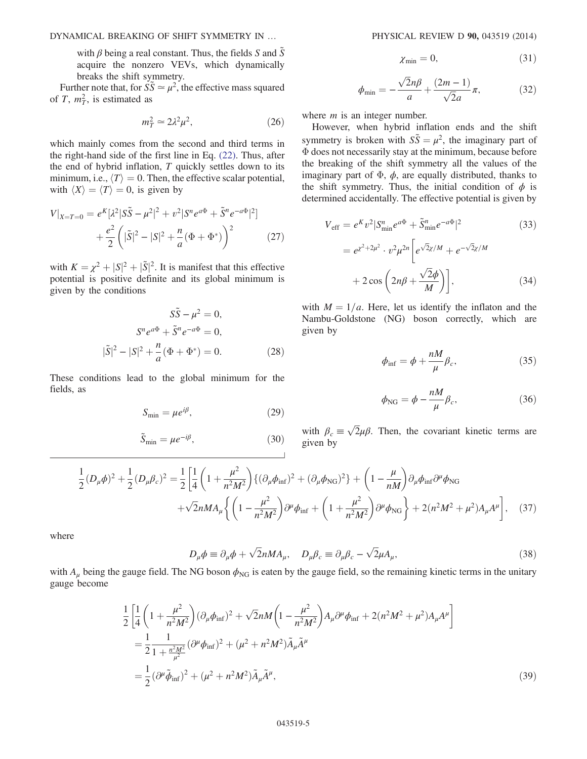DYNAMICAL BREAKING OF SHIFT SYMMETRY IN … PHYSICAL REVIEW D 90, 043519 (2014)

with  $\beta$  being a real constant. Thus, the fields S and S acquire the nonzero VEVs, which dynamically breaks the shift symmetry.

Further note that, for  $S\tilde{S} \simeq \mu^2$ , the effective mass squared of T,  $m<sub>T</sub><sup>2</sup>$ , is estimated as

$$
m_T^2 \simeq 2\lambda^2 \mu^2,\tag{26}
$$

which mainly comes from the second and third terms in the right-hand side of the first line in Eq. [\(22\).](#page-3-1) Thus, after the end of hybrid inflation,  $T$  quickly settles down to its minimum, i.e.,  $\langle T \rangle = 0$ . Then, the effective scalar potential, with  $\langle X \rangle = \langle T \rangle = 0$ , is given by

$$
V|_{X=T=0} = e^{K}[\lambda^{2}|\tilde{S}\tilde{S} - \mu^{2}|^{2} + v^{2}|S^{n}e^{a\Phi} + \tilde{S}^{n}e^{-a\Phi}|^{2}] + \frac{e^{2}}{2}(\vert \tilde{S}\vert^{2} - |S|^{2} + \frac{n}{a}(\Phi + \Phi^{*}))^{2}
$$
(27)

with  $K = \chi^2 + |S|^2 + |\tilde{S}|^2$ . It is manifest that this effective<br>notential is positive definite and its global minimum is potential is positive definite and its global minimum is given by the conditions

$$
S\tilde{S} - \mu^2 = 0,
$$
  
\n
$$
S^n e^{a\Phi} + \tilde{S}^n e^{-a\Phi} = 0,
$$
  
\n
$$
|\tilde{S}|^2 - |S|^2 + \frac{n}{a}(\Phi + \Phi^*) = 0.
$$
 (28)

These conditions lead to the global minimum for the fields, as

$$
S_{\min} = \mu e^{i\beta},\tag{29}
$$

$$
\tilde{S}_{\min} = \mu e^{-i\beta},\tag{30}
$$

$$
\chi_{\min} = 0,\tag{31}
$$

$$
\phi_{\min} = -\frac{\sqrt{2}n\beta}{a} + \frac{(2m-1)}{\sqrt{2}a}\pi,\tag{32}
$$

where  $m$  is an integer number.

However, when hybrid inflation ends and the shift symmetry is broken with  $S\tilde{S} = \mu^2$ , the imaginary part of Φ does not necessarily stay at the minimum, because before the breaking of the shift symmetry all the values of the imaginary part of  $\Phi$ ,  $\phi$ , are equally distributed, thanks to the shift symmetry. Thus, the initial condition of  $\phi$  is determined accidentally. The effective potential is given by

$$
V_{\text{eff}} = e^{K} v^{2} | S_{\text{min}}^{n} e^{a\Phi} + \tilde{S}_{\text{min}}^{n} e^{-a\Phi}|^{2}
$$
(33)  

$$
= e^{x^{2} + 2\mu^{2}} \cdot v^{2} \mu^{2n} \left[ e^{\sqrt{2}\chi/M} + e^{-\sqrt{2}\chi/M} + 2 \cos \left( 2n\beta + \frac{\sqrt{2}\phi}{M} \right) \right],
$$

with  $M = 1/a$ . Here, let us identify the inflaton and the Nambu-Goldstone (NG) boson correctly, which are given by

$$
\phi_{\rm inf} = \phi + \frac{nM}{\mu} \beta_c, \qquad (35)
$$

$$
\phi_{\rm NG} = \phi - \frac{nM}{\mu} \beta_c,\tag{36}
$$

with  $\beta_c \equiv \sqrt{2\mu\beta}$ . Then, the covariant kinetic terms are given by

$$
\frac{1}{2}(D_{\mu}\phi)^{2} + \frac{1}{2}(D_{\mu}\beta_{c})^{2} = \frac{1}{2}\left[\frac{1}{4}\left(1 + \frac{\mu^{2}}{n^{2}M^{2}}\right)\left\{(\partial_{\mu}\phi_{\rm inf})^{2} + (\partial_{\mu}\phi_{\rm NG})^{2}\right\} + \left(1 - \frac{\mu}{nM}\right)\partial_{\mu}\phi_{\rm inf}\partial^{\mu}\phi_{\rm NG} + \sqrt{2}nMA_{\mu}\left\{\left(1 - \frac{\mu^{2}}{n^{2}M^{2}}\right)\partial^{\mu}\phi_{\rm inf} + \left(1 + \frac{\mu^{2}}{n^{2}M^{2}}\right)\partial^{\mu}\phi_{\rm NG}\right\} + 2(n^{2}M^{2} + \mu^{2})A_{\mu}A^{\mu}\right],
$$
(37)

where

$$
D_{\mu}\phi \equiv \partial_{\mu}\phi + \sqrt{2}nMA_{\mu}, \quad D_{\mu}\beta_{c} \equiv \partial_{\mu}\beta_{c} - \sqrt{2}\mu A_{\mu}, \tag{38}
$$

with  $A_{\mu}$  being the gauge field. The NG boson  $\phi_{\text{NG}}$  is eaten by the gauge field, so the remaining kinetic terms in the unitary gauge become

$$
\frac{1}{2} \left[ \frac{1}{4} \left( 1 + \frac{\mu^2}{n^2 M^2} \right) (\partial_\mu \phi_{\rm inf})^2 + \sqrt{2} n M \left( 1 - \frac{\mu^2}{n^2 M^2} \right) A_\mu \partial^\mu \phi_{\rm inf} + 2 (n^2 M^2 + \mu^2) A_\mu A^\mu \right]
$$
\n
$$
= \frac{1}{2} \frac{1}{1 + \frac{n^2 M^2}{\mu^2}} (\partial^\mu \phi_{\rm inf})^2 + (\mu^2 + n^2 M^2) \tilde{A}_\mu \tilde{A}^\mu
$$
\n
$$
= \frac{1}{2} (\partial^\mu \tilde{\phi}_{\rm inf})^2 + (\mu^2 + n^2 M^2) \tilde{A}_\mu \tilde{A}^\mu,
$$
\n(39)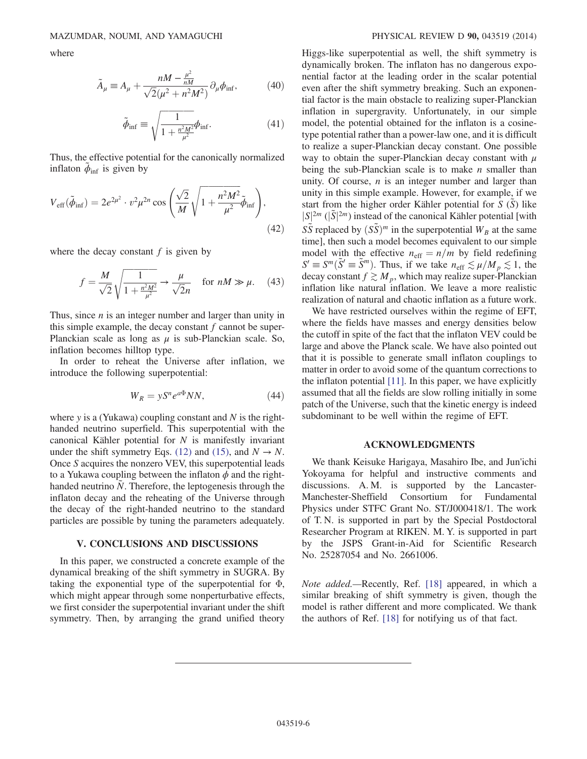where

$$
\tilde{A}_{\mu} \equiv A_{\mu} + \frac{nM - \frac{\mu^2}{nM}}{\sqrt{2}(\mu^2 + n^2M^2)} \partial_{\mu}\phi_{\text{inf}},\tag{40}
$$

$$
\tilde{\phi}_{\rm inf} \equiv \sqrt{\frac{1}{1 + \frac{n^2 M^2}{\mu^2}}} \phi_{\rm inf}.
$$
\n(41)

Thus, the effective potential for the canonically normalized inflaton  $\ddot{\phi}_{\text{inf}}$  is given by

$$
V_{\rm eff}(\tilde{\phi}_{\rm inf}) = 2e^{2\mu^2} \cdot v^2 \mu^{2n} \cos\left(\frac{\sqrt{2}}{M}\sqrt{1 + \frac{n^2 M^2}{\mu^2}} \tilde{\phi}_{\rm inf}\right),\tag{42}
$$

where the decay constant  $f$  is given by

$$
f = \frac{M}{\sqrt{2}} \sqrt{\frac{1}{1 + \frac{n^2 M^2}{\mu^2}}} \rightarrow \frac{\mu}{\sqrt{2}n} \quad \text{for } nM \gg \mu. \tag{43}
$$

Thus, since  $n$  is an integer number and larger than unity in this simple example, the decay constant  $f$  cannot be super-Planckian scale as long as  $\mu$  is sub-Planckian scale. So, inflation becomes hilltop type.

In order to reheat the Universe after inflation, we introduce the following superpotential:

$$
W_R = yS^n e^{a\Phi} NN,\t\t(44)
$$

where y is a (Yukawa) coupling constant and  $N$  is the righthanded neutrino superfield. This superpotential with the canonical Kähler potential for  $N$  is manifestly invariant under the shift symmetry Eqs. [\(12\)](#page-2-1) and [\(15\),](#page-2-2) and  $N \rightarrow N$ . Once S acquires the nonzero VEV, this superpotential leads to a Yukawa coupling between the inflaton  $\phi$  and the righthanded neutrino  $N$ . Therefore, the leptogenesis through the inflaton decay and the reheating of the Universe through the decay of the right-handed neutrino to the standard particles are possible by tuning the parameters adequately.

## V. CONCLUSIONS AND DISCUSSIONS

In this paper, we constructed a concrete example of the dynamical breaking of the shift symmetry in SUGRA. By taking the exponential type of the superpotential for Φ, which might appear through some nonperturbative effects, we first consider the superpotential invariant under the shift symmetry. Then, by arranging the grand unified theory Higgs-like superpotential as well, the shift symmetry is dynamically broken. The inflaton has no dangerous exponential factor at the leading order in the scalar potential even after the shift symmetry breaking. Such an exponential factor is the main obstacle to realizing super-Planckian inflation in supergravity. Unfortunately, in our simple model, the potential obtained for the inflaton is a cosinetype potential rather than a power-law one, and it is difficult to realize a super-Planckian decay constant. One possible way to obtain the super-Planckian decay constant with  $\mu$ being the sub-Planckian scale is to make  $n$  smaller than unity. Of course,  $n$  is an integer number and larger than unity in this simple example. However, for example, if we start from the higher order Kähler potential for  $S(S)$  like  $|S|^{2m}$  ( $|\tilde{S}|^{2m}$ ) instead of the canonical Kähler potential [with<br> $S\tilde{S}$  raplaced by  $(S\tilde{S})^m$  in the cupermetential  $W$ , at the same  $S\tilde{S}$  replaced by  $(S\tilde{S})^m$  in the superpotential  $W_B$  at the same time], then such a model becomes equivalent to our simple model with the effective  $n_{\text{eff}} = n/m$  by field redefining  $S' \equiv S^m(\tilde{S}' \equiv \tilde{S}^m)$ . Thus, if we take  $n_{\text{eff}} \lesssim \mu/M_p \lesssim 1$ , the decay constant  $f \gtrsim M_p$ , which may realize super-Planckian inflation like natural inflation. We leave a more realistic realization of natural and chaotic inflation as a future work.

We have restricted ourselves within the regime of EFT, where the fields have masses and energy densities below the cutoff in spite of the fact that the inflaton VEV could be large and above the Planck scale. We have also pointed out that it is possible to generate small inflaton couplings to matter in order to avoid some of the quantum corrections to the inflaton potential  $[11]$ . In this paper, we have explicitly assumed that all the fields are slow rolling initially in some patch of the Universe, such that the kinetic energy is indeed subdominant to be well within the regime of EFT.

### ACKNOWLEDGMENTS

We thank Keisuke Harigaya, Masahiro Ibe, and Jun'ichi Yokoyama for helpful and instructive comments and discussions. A. M. is supported by the Lancaster-Manchester-Sheffield Consortium for Fundamental Physics under STFC Grant No. ST/J000418/1. The work of T. N. is supported in part by the Special Postdoctoral Researcher Program at RIKEN. M. Y. is supported in part by the JSPS Grant-in-Aid for Scientific Research No. 25287054 and No. 2661006.

Note added.—Recently, Ref. [\[18\]](#page-6-17) appeared, in which a similar breaking of shift symmetry is given, though the model is rather different and more complicated. We thank the authors of Ref. [\[18\]](#page-6-17) for notifying us of that fact.